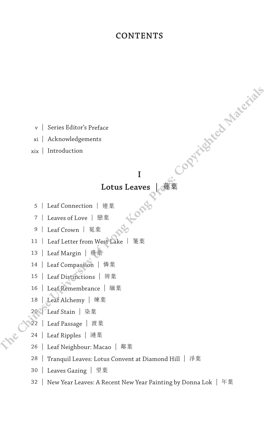#### **CONTENTS**

v | Series Editor's Preface

xi | Acknowledgements

xix | Introduction

# **I**

#### **Lotus Leaves |** 蓮葉

- 5 | Leaf Connection | 連葉
- 7 | Leaves of Love | 戀葉

9 | Leaf Crown | 冕葉

11 | Leaf Letter from West Lake | 箋葉 **The Chinese Editor's Preface**<br> **Xi** | Acknowledgements<br> **Xi** | Introduction<br> **IDEAS | Leaf Connection** | 雅莱<br> **Therefore Deasure 1 亚莱**<br> **Therefore Press:**<br> **Therefore Press:**<br> **Therefore Press:**<br> **Therefore Mate** 

- 13 | Leaf Margin | 邊葉
- 14 | Leaf Compassion | 憐葉
- 15 | Leaf Distinctions | 辨葉
- 16 | Leaf Remembrance | 緬葉
- 18 | Leaf Alchemy | 煉葉
- 20<sup>0</sup> Leaf Stain | 染葉
- 22 | Leaf Passage | 渡葉
- 24 | Leaf Ripples | 漣葉
- 26 | Leaf Neighbour: Macao | 鄰葉
- 28 | Tranquil Leaves: Lotus Convent at Diamond Hill | 淨葉
- 30 | Leaves Gazing | 望葉
- 32 | New Year Leaves: A Recent New Year Painting by Donna Lok | 年葉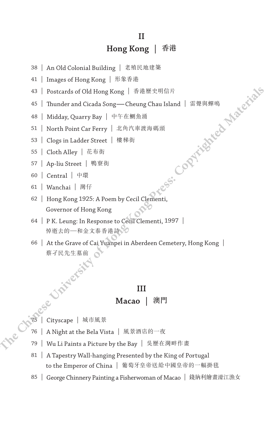## **II Hong Kong |** 香港

- 38 | An Old Colonial Building | 老殖民地建築
- 41 | Images of Hong Kong | 形象香港
- 43 | Postcards of Old Hong Kong | 香港歷史明信片
- 45 | Thunder and Cicada Song—Cheung Chau Island | 雷聲與蟬鳴 **The Chinese University of Hong Kong Press: Copyrighted Materials**
- 48 | Midday, Quarry Bay | 中午在鰂魚涌
- 51 | North Point Car Ferry | 北角汽車渡海碼頭
- 53 | Clogs in Ladder Street | 樓梯街
- 55 | Cloth Alley | 花布街
- 57 | Ap-liu Street | 鴨寮街
- 60 | Central | 中環
- 61 | Wanchai | 灣仔
- 62 | Hong Kong 1925: A Poem by Cecil Clementi, Governor of Hong Kong
- 64 | P K. Leung: In Response to Cecil Clementi, 1997 | 悼逝去的一和金文泰香港詩》
- 66 | At the Grave of Cai Yuanpei in Aberdeen Cemetery, Hong Kong | 蔡孑民先生墓前

#### **III**

#### **Macao |** 澳門

- 75 | Cityscape | 城市風景
	- 76 | A Night at the Bela Vista | 風景酒店的一夜
	- 79 | Wu Li Paints a Picture by the Bay | 吳歷在灣畔作畫
	- 81 | A Tapestry Wall-hanging Presented by the King of Portugal to the Emperor of China | 葡萄牙皇帝送給中國皇帝的一幅掛毯
	- 85 | George Chinnery Painting a Fisherwoman of Macao | 錢納利繪畫濠江漁女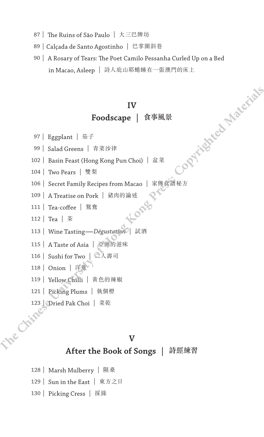- 87 | The Ruins of São Paulo | 大三巴牌坊
- 89 | Calçada de Santo Agostinho | 巴掌圍斜巷
- 90 | A Rosary of Tears: The Poet Camilo Pessanha Curled Up on a Bed in Macao, Asleep | 詩人庇山耶蜷睡在一張澳門的床上 **The Chinese University of Hong Kong Press: Copyrighted Materials**

## **IV Foodscape |** 食事風景

- 97 | Eggplant | 茄子
- 99 | Salad Greens | 青菜沙律
- 102 | Basin Feast (Hong Kong Pun Choi) | 盆菜
- 104 | Two Pears | 雙梨
- 106 | Secret Family Recipes from Macao | 家傳食譜秘方
- 109 | A Treatise on Pork | 猪肉的論述<br>111 | Tea-coffee | 鴛鴦<br>112 | Tea <sup>| 米</sup>
- 111 | Tea-coffee | 鴛鴦
- 112 | Tea | 茶
- <sup>113</sup> | Wine Tasting—*Dégustation* | 試酒
- 115 | A Taste of Asia | 亞洲的滋味
- 116 | Sushi for Two | 二人壽司
- 118 | Onion | 洋蔥
- 119 | Yellow Chilli | 黃色的辣椒
- 121 | Picking Plums | 執個橙
- 123 | Dried Pak Choi | 菜乾<br>News Choi | 菜乾

#### **V**

#### **After the Book of Songs |** 詩經練習

- 128 | Marsh Mulberry | 隰桑
- 129 | Sun in the East | 東方之日
- 130 | Picking Cress | 採綠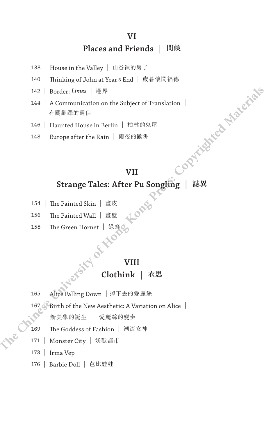## **VI Places and Friends |** 問候

- 138 | House in the Valley | 山谷裡的房子
- 140 | Thinking of John at Year's End | 歲暮懷閔福德
- 142 | Border: *Limes* | 邊界
- 144 | A Communication on the Subject of Translation | 有關翻譯的通信
- 146 | Haunted House in Berlin | 柏林的鬼屋
- 148 | Europe after the Rain | 雨後的歐洲

# **VII Strange Tales: After Pu Songling |** 誌異 **The Chinese University of Hong Kong Press: Copyrighted Materials**

- 154 | The Painted Skin | 畫皮
- 156 | The Painted Wall | 畫壁
- 158 | The Green Hornet | 綠蜂の

## **VIII**

**Clothink |** 衣思

- 165 | Alice Falling Down | 掉下去的愛麗絲
- 167 | Birth of the New Aesthetic: A Variation on Alice | 新美學的誕生——愛麗絲的變奏
- 169 | The Goddess of Fashion | 潮流女神
- 171 | Monster City | 妖獸都市
- 173 | Irma Vep
- 176 | Barbie Doll | 芭比娃娃